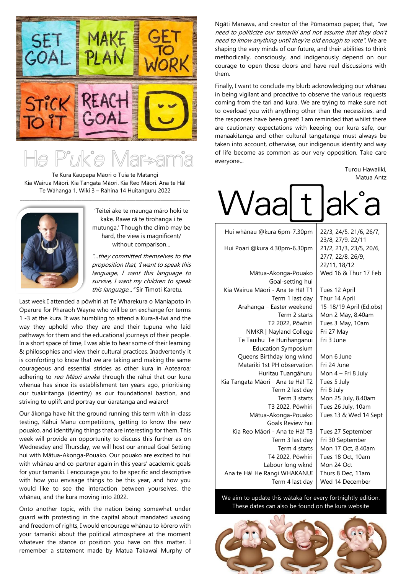

Te Kura Kaupapa Māori o Tuia te Matangi Kia Wairua Māori. Kia Tangata Māori. Kia Reo Māori. Ana te Hā! Te Wāhanga 1, Wiki 3 – Rāhina 14 Huitanguru 2022



'Teitei ake te maunga māro hoki te kake. Rawe rā te tirohanga i te mutunga.' Though the climb may be hard, the view is magnificent/ without comparison...

"...they committed themselves to the proposition that, 'I want to speak this language, I want this language to survive, I want my children to speak this language... "Sir Timoti Karetu.

Last week I attended a pōwhiri at Te Wharekura o Maniapoto in Oparure for Pharaoh Wayne who will be on exchange for terms 1 -3 at the kura. It was humbling to attend a Kura-ā-Iwi and the way they uphold who they are and their tupuna who laid pathways for them and the educational journeys of their people. In a short space of time, I was able to hear some of their learning & philosophies and view their cultural practices. Inadvertently it is comforting to know that we are taking and making the same courageous and essential strides as other kura in Aotearoa; adhering to reo Māori anake through the rāhui that our kura whenua has since its establishment ten years ago, prioritising our tuakiritanga (identity) as our foundational bastion, and striving to uplift and portray our ūaratanga and waiaro!

Our ākonga have hit the ground running this term with in-class testing, Kāhui Manu competitions, getting to know the new pouako, and identifying things that are interesting for them. This week will provide an opportunity to discuss this further as on Wednesday and Thursday, we will host our annual Goal Setting hui with Mātua-Akonga-Pouako. Our pouako are excited to hui with whānau and co-partner again in this years' academic goals for your tamariki. I encourage you to be specific and descriptive with how you envisage things to be this year, and how you would like to see the interaction between yourselves, the whānau, and the kura moving into 2022.

Onto another topic, with the nation being somewhat under guard with protesting in the capital about mandated vaxxing and freedom of rights, I would encourage whānau to kōrero with your tamariki about the political atmosphere at the moment whatever the stance or position you have on this matter. I remember a statement made by Matua Takawai Murphy of

Ngāti Manawa, and creator of the Pūmaomao paper; that, "we need to politicize our tamariki and not assume that they don't need to know anything until they're old enough to vote". We are shaping the very minds of our future, and their abilities to think methodically, consciously, and indigenously depend on our courage to open those doors and have real discussions with them.

Finally, I want to conclude my blurb acknowledging our whānau in being vigilant and proactive to observe the various requests coming from the tari and kura. We are trying to make sure not to overload you with anything other than the necessities, and the responses have been great! I am reminded that whilst there are cautionary expectations with keeping our kura safe, our manaakitanga and other cultural tangatanga must always be taken into account, otherwise, our indigenous identity and way of life become as common as our very opposition. Take care everyone...

> Turou Hawaiiki, Matua Antz

| <i>laa</i>                                               | ik a<br>d                                                    |
|----------------------------------------------------------|--------------------------------------------------------------|
| Hui whānau @kura 6pm-7.30pm                              | 22/3, 24/5, 21/6, 26/7,<br>23/8, 27/9, 22/11                 |
| Hui Poari @kura 4.30pm-6.30pm                            | 21/2, 21/3, 23/5, 20/6,<br>27/7, 22/8, 26/9,<br>22/11, 18/12 |
| Mātua-Akonga-Pouako<br>Goal-setting hui                  | Wed 16 & Thur 17 Feb                                         |
| Kia Wairua Māori - Ana te Hā! T1<br>Term 1 last day      | Tues 12 April<br>Thur 14 April                               |
| Arahanga - Easter weekend<br>Term 2 starts               | 15-18/19 April (Ed.obs)<br>Mon 2 May, 8.40am                 |
| T2 2022, Pōwhiri<br>NMKR   Nayland College               | Tues 3 May, 10am<br>Fri 27 May                               |
| Te Tauihu Te Hurihanganui<br><b>Education Symposium</b>  | Fri 3 June                                                   |
| Queens Birthday long wknd<br>Matariki 1st PH observation | Mon 6 June<br>Fri 24 June                                    |
| Huritau Tuangāhuru<br>Kia Tangata Māori - Ana te Hā! T2  | Mon 4 - Fri 8 July<br>Tues 5 July                            |
| Term 2 last day<br>Term 3 starts                         | Fri 8 July                                                   |
| T3 2022, Pōwhiri                                         | Mon 25 July, 8.40am<br>Tues 26 July, 10am                    |
| Mātua-Akonga-Pouako<br>Goals Review hui                  | Tues 13 & Wed 14 Sept                                        |
| Kia Reo Māori - Ana te Hā! T3<br>Term 3 last day         | Tues 27 September<br>Fri 30 September                        |
| Term 4 starts<br>T4 2022, Pōwhiri                        | Mon 17 Oct, 8.40am<br>Tues 18 Oct, 10am                      |
| Labour long wknd<br>Ana te Hā! He Rangi WHAKANUI         | Mon 24 Oct<br>Thurs 8 Dec. 11am                              |
| Term 4 last day                                          | Wed 14 December                                              |

We aim to update this wātaka for every fortnightly edition. These dates can also be found on the kura website

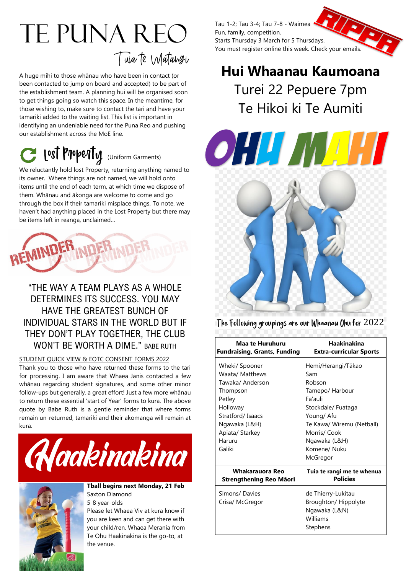# Te Puna Reo Tuia te Matangi

A huge mihi to those whānau who have been in contact (or been contacted to jump on board and accepted) to be part of the establishment team. A planning hui will be organised soon to get things going so watch this space. In the meantime, for those wishing to, make sure to contact the tari and have your tamariki added to the waiting list. This list is important in identifying an undeniable need for the Puna Reo and pushing our establishment across the MoE line.

## C lost Property (Uniform Garments)

We reluctantly hold lost Property, returning anything named to its owner. Where things are not named, we will hold onto items until the end of each term, at which time we dispose of them. Whānau and ākonga are welcome to come and go through the box if their tamariki misplace things. To note, we haven't had anything placed in the Lost Property but there may be items left in reanga, unclaimed…



### "THE WAY A TEAM PLAYS AS A WHOLE DETERMINES ITS SUCCESS. YOU MAY HAVE THE GREATEST BUNCH OF INDIVIDUAL STARS IN THE WORLD BUT IF THEY DON'T PLAY TOGETHER, THE CLUB WON'T BE WORTH A DIME." BABE RUTH

#### STUDENT QUICK VIEW & EOTC CONSENT FORMS 2022

Thank you to those who have returned these forms to the tari for processing. I am aware that Whaea Janis contacted a few whānau regarding student signatures, and some other minor follow-ups but generally, a great effort! Just a few more whānau to return these essential 'start of Year' forms to kura. The above quote by Babe Ruth is a gentle reminder that where forms remain un-returned, tamariki and their akomanga will remain at kura.





**Tball begins next Monday, 21 Feb** Saxton Diamond 5-8 year-olds

Please let Whaea Viv at kura know if you are keen and can get there with your child/ren. Whaea Merania from Te Ohu Haakinakina is the go-to, at the venue.



## **Hui Whaanau Kaumoana** Turei 22 Pepuere 7pm Te Hikoi ki Te Aumiti



The Following groupings are our Whaanau Ohu for 2022

| Maa te Huruhuru                                                                                                                                                     | <b>Haakinakina</b>                                                                                                                                                                              |
|---------------------------------------------------------------------------------------------------------------------------------------------------------------------|-------------------------------------------------------------------------------------------------------------------------------------------------------------------------------------------------|
| <b>Fundraising, Grants, Funding</b>                                                                                                                                 | <b>Extra-curricular Sports</b>                                                                                                                                                                  |
| Wheki/ Spooner<br>Waata/ Matthews<br>Tawaka/ Anderson<br>Thompson<br>Petley<br>Holloway<br>Stratford/Isaacs<br>Ngawaka (L&H)<br>Apiata/ Starkey<br>Haruru<br>Galiki | Hemi/Herangi/Tākao<br>Sam<br>Robson<br>Tamepo/ Harbour<br>Fa'auli<br>Stockdale/ Fuataga<br>Young/ Afu<br>Te Kawa/ Wiremu (Netball)<br>Morris/ Cook<br>Ngawaka (L&H)<br>Komene/ Nuku<br>McGregor |
| Whakarauora Reo                                                                                                                                                     | Tuia te rangi me te whenua                                                                                                                                                                      |
| Strengthening Reo Māori                                                                                                                                             | <b>Policies</b>                                                                                                                                                                                 |
| Simons/ Davies<br>Crisa/ McGregor                                                                                                                                   | de Thierry-Lukitau<br>Broughton/Hippolyte<br>Ngawaka (L&N)<br>Williams<br>Stephens                                                                                                              |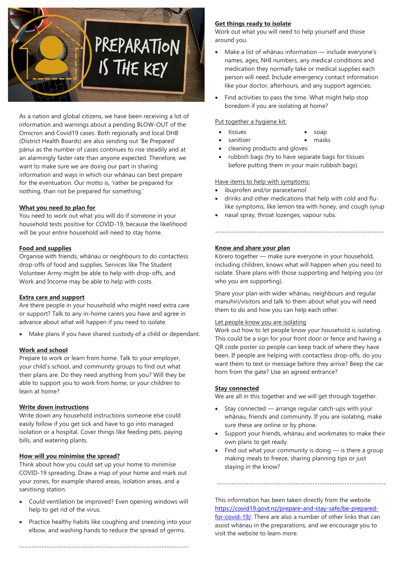

As a nation and global citizens, we have been receiving a lot of information and warnings about a pending BLOW-OUT of the Omicron and Covid19 cases. Both regionally and local DHB (District Health Boards) are also sending out 'Be Prepared' pānui as the number of cases continues to rise steadily and at an alarmingly faster rate than anyone expected. Therefore, we want to make sure we are doing our part in sharing information and ways in which our whānau can best prepare for the eventuation. Our motto is, 'rather be prepared for nothing, than not be prepared for something.'

#### **What you need to plan for**

You need to work out what you will do if someone in your household tests positive for COVID-19, because the likelihood will be your entire household will need to stay home.

#### **Food and supplies**

Organise with friends, whānau or neighbours to do contactless drop-offs of food and supplies. Services like The Student Volunteer Army might be able to help with drop-offs, and Work and Income may be able to help with costs.

#### **Extra care and support**

Are there people in your household who might need extra care or support? Talk to any in-home carers you have and agree in advance about what will happen if you need to isolate.

• Make plans if you have shared custody of a child or dependant.

#### **Work and school**

Prepare to work or learn from home. Talk to your employer, your child's school, and community groups to find out what their plans are. Do they need anything from you? Will they be able to support you to work from home, or your children to learn at home?

#### **Write down instructions**

Write down any household instructions someone else could easily follow if you get sick and have to go into managed isolation or a hospital. Cover things like feeding pets, paying bills, and watering plants.

#### **How will you minimise the spread?**

Think about how you could set up your home to minimise COVID-19 spreading. Draw a map of your home and mark out your zones, for example shared areas, isolation areas, and a sanitising station.

- Could ventilation be improved? Even opening windows will help to get rid of the virus.
- Practice healthy habits like coughing and sneezing into your elbow, and washing hands to reduce the spread of germs.

---------------------------------------------------------------------

#### **Get things ready to isolate**

Work out what you will need to help yourself and those around you.

- Make a list of whānau information include everyone's names, ages, NHI numbers, any medical conditions and medication they normally take or medical supplies each person will need. Include emergency contact information like your doctor, afterhours, and any support agencies.
- Find activities to pass the time. What might help stop boredom if you are isolating at home?

#### Put together a hygiene kit:

- tissues soap
- sanitiser masks
- cleaning products and gloves
- rubbish bags (try to have separate bags for tissues before putting them in your main rubbish bags).

#### Have items to help with symptoms:

- ibuprofen and/or paracetamol
- drinks and other medications that help with cold and flulike symptoms, like lemon tea with honey, and cough syrup

---------------------------------------------------------------------

• nasal spray, throat lozenges, vapour rubs.

#### **Know and share your plan**

Kōrero together — make sure everyone in your household, including children, knows what will happen when you need to isolate. Share plans with those supporting and helping you (or who you are supporting).

Share your plan with wider whānau, neighbours and regular manuhiri/visitors and talk to them about what you will need them to do and how you can help each other.

#### Let people know you are isolating

Work out how to let people know your household is isolating. This could be a sign for your front door or fence and having a QR code poster so people can keep track of where they have been. If people are helping with contactless drop-offs, do you want them to text or message before they arrive? Beep the car horn from the gate? Use an agreed entrance?

#### **Stay connected**

We are all in this together and we will get through together.

- Stay connected arrange regular catch-ups with your whānau, friends and community. If you are isolating, make sure these are online or by phone.
- Support your friends, whānau and workmates to make their own plans to get ready.
- Find out what your community is doing  $-$  is there a group making meals to freeze, sharing planning tips or just staying in the know?

---------------------------------------------------------------------

This information has been taken directly from the website [https://covid19.govt.nz/prepare-and-stay-safe/be-prepared](https://covid19.govt.nz/prepare-and-stay-safe/be-prepared-for-covid-19/)[for-covid-19/.](https://covid19.govt.nz/prepare-and-stay-safe/be-prepared-for-covid-19/) There are also a number of other links that can assist whānau in the preparations, and we encourage you to visit the website to learn more.